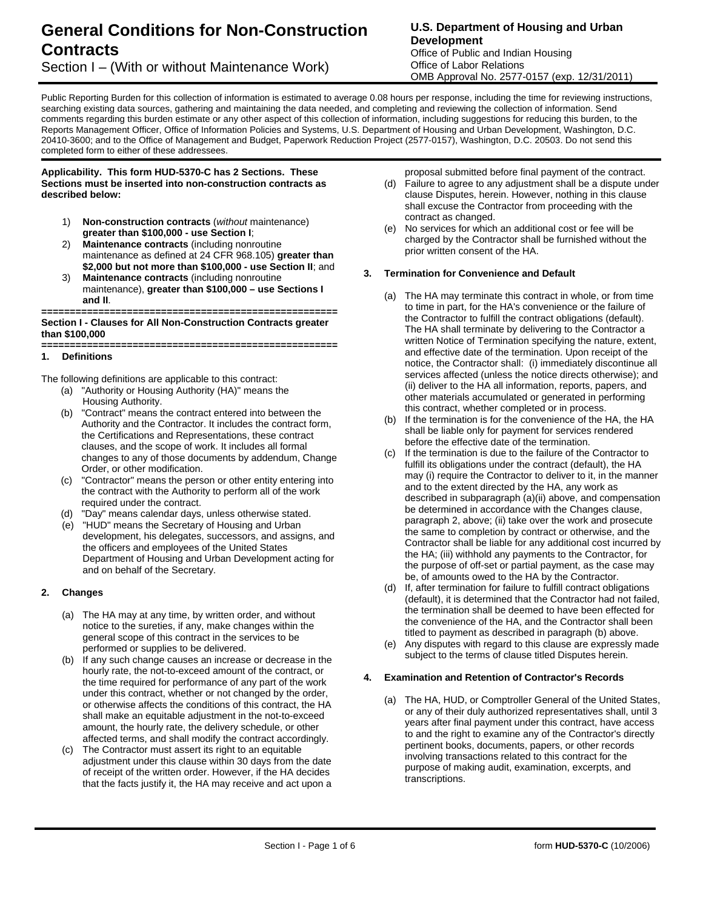# **General Conditions for Non-Construction Contracts**

## Section I – (With or without Maintenance Work)

## **U.S. Department of Housing and Urban Development**

Office of Public and Indian Housing Office of Labor Relations OMB Approval No. 2577-0157 (exp. 12/31/2011)

Public Reporting Burden for this collection of information is estimated to average 0.08 hours per response, including the time for reviewing instructions. searching existing data sources, gathering and maintaining the data needed, and completing and reviewing the collection of information. Send comments regarding this burden estimate or any other aspect of this collection of information, including suggestions for reducing this burden, to the Reports Management Officer, Office of Information Policies and Systems, U.S. Department of Housing and Urban Development, Washington, D.C. 20410-3600; and to the Office of Management and Budget, Paperwork Reduction Project (2577-0157), Washington, D.C. 20503. Do not send this completed form to either of these addressees.

#### **Applicability. This form HUD-5370-C has 2 Sections. These Sections must be inserted into non-construction contracts as described below:**

- 1) **Non-construction contracts** (*without* maintenance) **greater than \$100,000 - use Section I**;
- 2) **Maintenance contracts** (including nonroutine maintenance as defined at 24 CFR 968.105) **greater than \$2,000 but not more than \$100,000 - use Section II**; and
- 3) **Maintenance contracts** (including nonroutine maintenance), **greater than \$100,000 – use Sections I and II**.

#### **==================================================== Section I - Clauses for All Non-Construction Contracts greater than \$100,000**

#### **==================================================== 1. Definitions**

The following definitions are applicable to this contract:

- (a) "Authority or Housing Authority (HA)" means the Housing Authority.
- (b) "Contract" means the contract entered into between the Authority and the Contractor. It includes the contract form, the Certifications and Representations, these contract clauses, and the scope of work. It includes all formal changes to any of those documents by addendum, Change Order, or other modification.
- (c) "Contractor" means the person or other entity entering into the contract with the Authority to perform all of the work required under the contract.
- (d) "Day" means calendar days, unless otherwise stated.
- (e) "HUD" means the Secretary of Housing and Urban development, his delegates, successors, and assigns, and the officers and employees of the United States Department of Housing and Urban Development acting for and on behalf of the Secretary.

## **2. Changes**

- (a) The HA may at any time, by written order, and without notice to the sureties, if any, make changes within the general scope of this contract in the services to be performed or supplies to be delivered.
- (b) If any such change causes an increase or decrease in the hourly rate, the not-to-exceed amount of the contract, or the time required for performance of any part of the work under this contract, whether or not changed by the order, or otherwise affects the conditions of this contract, the HA shall make an equitable adjustment in the not-to-exceed amount, the hourly rate, the delivery schedule, or other affected terms, and shall modify the contract accordingly.
- (c) The Contractor must assert its right to an equitable adjustment under this clause within 30 days from the date of receipt of the written order. However, if the HA decides that the facts justify it, the HA may receive and act upon a

proposal submitted before final payment of the contract.

- (d) Failure to agree to any adjustment shall be a dispute under clause Disputes, herein. However, nothing in this clause shall excuse the Contractor from proceeding with the contract as changed.
- (e) No services for which an additional cost or fee will be charged by the Contractor shall be furnished without the prior written consent of the HA.

#### **3. Termination for Convenience and Default**

- (a) The HA may terminate this contract in whole, or from time to time in part, for the HA's convenience or the failure of the Contractor to fulfill the contract obligations (default). The HA shall terminate by delivering to the Contractor a written Notice of Termination specifying the nature, extent, and effective date of the termination. Upon receipt of the notice, the Contractor shall: (i) immediately discontinue all services affected (unless the notice directs otherwise); and (ii) deliver to the HA all information, reports, papers, and other materials accumulated or generated in performing this contract, whether completed or in process.
- (b) If the termination is for the convenience of the HA, the HA shall be liable only for payment for services rendered before the effective date of the termination.
- (c) If the termination is due to the failure of the Contractor to fulfill its obligations under the contract (default), the HA may (i) require the Contractor to deliver to it, in the manner and to the extent directed by the HA, any work as described in subparagraph (a)(ii) above, and compensation be determined in accordance with the Changes clause, paragraph 2, above; (ii) take over the work and prosecute the same to completion by contract or otherwise, and the Contractor shall be liable for any additional cost incurred by the HA; (iii) withhold any payments to the Contractor, for the purpose of off-set or partial payment, as the case may be, of amounts owed to the HA by the Contractor.
- (d) If, after termination for failure to fulfill contract obligations (default), it is determined that the Contractor had not failed, the termination shall be deemed to have been effected for the convenience of the HA, and the Contractor shall been titled to payment as described in paragraph (b) above.
- (e) Any disputes with regard to this clause are expressly made subject to the terms of clause titled Disputes herein.

## **4. Examination and Retention of Contractor's Records**

(a) The HA, HUD, or Comptroller General of the United States, or any of their duly authorized representatives shall, until 3 years after final payment under this contract, have access to and the right to examine any of the Contractor's directly pertinent books, documents, papers, or other records involving transactions related to this contract for the purpose of making audit, examination, excerpts, and transcriptions.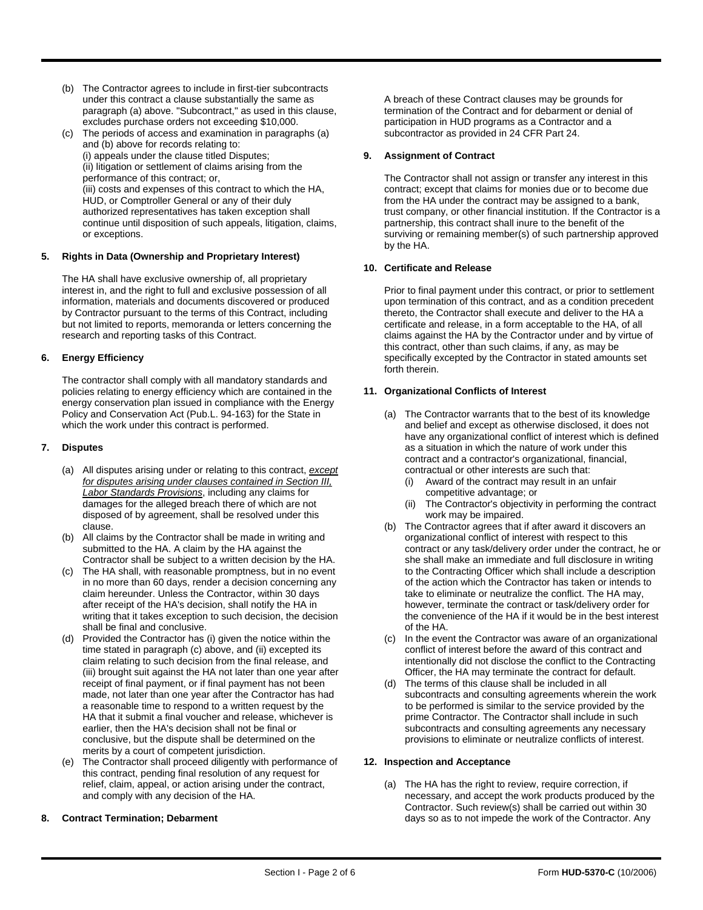- (b) The Contractor agrees to include in first-tier subcontracts under this contract a clause substantially the same as paragraph (a) above. "Subcontract," as used in this clause, excludes purchase orders not exceeding \$10,000.
- (c) The periods of access and examination in paragraphs (a) and (b) above for records relating to: (i) appeals under the clause titled Disputes; (ii) litigation or settlement of claims arising from the performance of this contract; or, (iii) costs and expenses of this contract to which the HA, HUD, or Comptroller General or any of their duly authorized representatives has taken exception shall continue until disposition of such appeals, litigation, claims, or exceptions.

#### **5. Rights in Data (Ownership and Proprietary Interest)**

The HA shall have exclusive ownership of, all proprietary interest in, and the right to full and exclusive possession of all information, materials and documents discovered or produced by Contractor pursuant to the terms of this Contract, including but not limited to reports, memoranda or letters concerning the research and reporting tasks of this Contract.

#### **6. Energy Efficiency**

The contractor shall comply with all mandatory standards and policies relating to energy efficiency which are contained in the energy conservation plan issued in compliance with the Energy Policy and Conservation Act (Pub.L. 94-163) for the State in which the work under this contract is performed.

#### **7. Disputes**

- (a) All disputes arising under or relating to this contract, *except for disputes arising under clauses contained in Section III, Labor Standards Provisions*, including any claims for damages for the alleged breach there of which are not disposed of by agreement, shall be resolved under this clause.
- (b) All claims by the Contractor shall be made in writing and submitted to the HA. A claim by the HA against the Contractor shall be subject to a written decision by the HA.
- (c) The HA shall, with reasonable promptness, but in no event in no more than 60 days, render a decision concerning any claim hereunder. Unless the Contractor, within 30 days after receipt of the HA's decision, shall notify the HA in writing that it takes exception to such decision, the decision shall be final and conclusive.
- (d) Provided the Contractor has (i) given the notice within the time stated in paragraph (c) above, and (ii) excepted its claim relating to such decision from the final release, and (iii) brought suit against the HA not later than one year after receipt of final payment, or if final payment has not been made, not later than one year after the Contractor has had a reasonable time to respond to a written request by the HA that it submit a final voucher and release, whichever is earlier, then the HA's decision shall not be final or conclusive, but the dispute shall be determined on the merits by a court of competent jurisdiction.
- (e) The Contractor shall proceed diligently with performance of this contract, pending final resolution of any request for relief, claim, appeal, or action arising under the contract, and comply with any decision of the HA.

#### **8. Contract Termination; Debarment**

A breach of these Contract clauses may be grounds for termination of the Contract and for debarment or denial of participation in HUD programs as a Contractor and a subcontractor as provided in 24 CFR Part 24.

#### **9. Assignment of Contract**

The Contractor shall not assign or transfer any interest in this contract; except that claims for monies due or to become due from the HA under the contract may be assigned to a bank, trust company, or other financial institution. If the Contractor is a partnership, this contract shall inure to the benefit of the surviving or remaining member(s) of such partnership approved by the HA.

#### **10. Certificate and Release**

Prior to final payment under this contract, or prior to settlement upon termination of this contract, and as a condition precedent thereto, the Contractor shall execute and deliver to the HA a certificate and release, in a form acceptable to the HA, of all claims against the HA by the Contractor under and by virtue of this contract, other than such claims, if any, as may be specifically excepted by the Contractor in stated amounts set forth therein.

#### **11. Organizational Conflicts of Interest**

- (a) The Contractor warrants that to the best of its knowledge and belief and except as otherwise disclosed, it does not have any organizational conflict of interest which is defined as a situation in which the nature of work under this contract and a contractor's organizational, financial, contractual or other interests are such that:
	- (i) Award of the contract may result in an unfair competitive advantage; or
	- (ii) The Contractor's objectivity in performing the contract work may be impaired.
- (b) The Contractor agrees that if after award it discovers an organizational conflict of interest with respect to this contract or any task/delivery order under the contract, he or she shall make an immediate and full disclosure in writing to the Contracting Officer which shall include a description of the action which the Contractor has taken or intends to take to eliminate or neutralize the conflict. The HA may, however, terminate the contract or task/delivery order for the convenience of the HA if it would be in the best interest of the HA.
- (c) In the event the Contractor was aware of an organizational conflict of interest before the award of this contract and intentionally did not disclose the conflict to the Contracting Officer, the HA may terminate the contract for default.
- (d) The terms of this clause shall be included in all subcontracts and consulting agreements wherein the work to be performed is similar to the service provided by the prime Contractor. The Contractor shall include in such subcontracts and consulting agreements any necessary provisions to eliminate or neutralize conflicts of interest.

#### **12. Inspection and Acceptance**

(a) The HA has the right to review, require correction, if necessary, and accept the work products produced by the Contractor. Such review(s) shall be carried out within 30 days so as to not impede the work of the Contractor. Any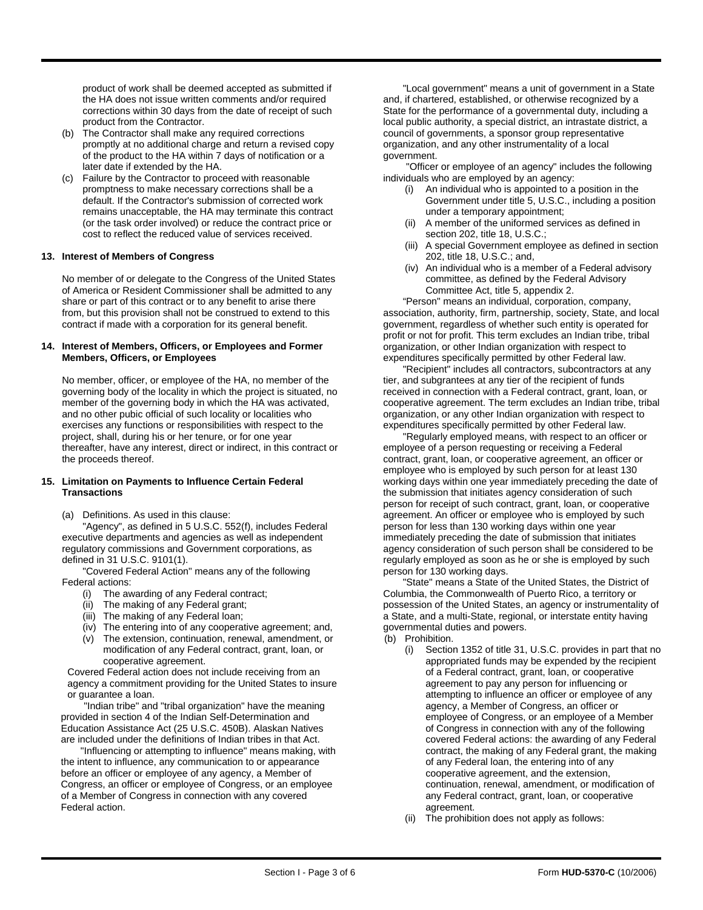product of work shall be deemed accepted as submitted if the HA does not issue written comments and/or required corrections within 30 days from the date of receipt of such product from the Contractor.

- (b) The Contractor shall make any required corrections promptly at no additional charge and return a revised copy of the product to the HA within 7 days of notification or a later date if extended by the HA.
- (c) Failure by the Contractor to proceed with reasonable promptness to make necessary corrections shall be a default. If the Contractor's submission of corrected work remains unacceptable, the HA may terminate this contract (or the task order involved) or reduce the contract price or cost to reflect the reduced value of services received.

#### **13. Interest of Members of Congress**

No member of or delegate to the Congress of the United States of America or Resident Commissioner shall be admitted to any share or part of this contract or to any benefit to arise there from, but this provision shall not be construed to extend to this contract if made with a corporation for its general benefit.

#### **14. Interest of Members, Officers, or Employees and Former Members, Officers, or Employees**

No member, officer, or employee of the HA, no member of the governing body of the locality in which the project is situated, no member of the governing body in which the HA was activated, and no other pubic official of such locality or localities who exercises any functions or responsibilities with respect to the project, shall, during his or her tenure, or for one year thereafter, have any interest, direct or indirect, in this contract or the proceeds thereof.

#### **15. Limitation on Payments to Influence Certain Federal Transactions**

(a) Definitions. As used in this clause:

"Agency", as defined in 5 U.S.C. 552(f), includes Federal executive departments and agencies as well as independent regulatory commissions and Government corporations, as defined in 31 U.S.C. 9101(1).

"Covered Federal Action" means any of the following Federal actions:

- (i) The awarding of any Federal contract;
- (ii) The making of any Federal grant;
- (iii) The making of any Federal loan;
- (iv) The entering into of any cooperative agreement; and,
- (v) The extension, continuation, renewal, amendment, or modification of any Federal contract, grant, loan, or cooperative agreement.

Covered Federal action does not include receiving from an agency a commitment providing for the United States to insure or guarantee a loan.

"Indian tribe" and "tribal organization" have the meaning provided in section 4 of the Indian Self-Determination and Education Assistance Act (25 U.S.C. 450B). Alaskan Natives are included under the definitions of Indian tribes in that Act.

"Influencing or attempting to influence" means making, with the intent to influence, any communication to or appearance before an officer or employee of any agency, a Member of Congress, an officer or employee of Congress, or an employee of a Member of Congress in connection with any covered Federal action.

"Local government" means a unit of government in a State and, if chartered, established, or otherwise recognized by a State for the performance of a governmental duty, including a local public authority, a special district, an intrastate district, a council of governments, a sponsor group representative organization, and any other instrumentality of a local government.

"Officer or employee of an agency" includes the following individuals who are employed by an agency:

- (i) An individual who is appointed to a position in the Government under title 5, U.S.C., including a position under a temporary appointment;
- (ii) A member of the uniformed services as defined in section 202, title 18, U.S.C.;
- (iii) A special Government employee as defined in section 202, title 18, U.S.C.; and,
- (iv) An individual who is a member of a Federal advisory committee, as defined by the Federal Advisory Committee Act, title 5, appendix 2.

"Person" means an individual, corporation, company, association, authority, firm, partnership, society, State, and local government, regardless of whether such entity is operated for profit or not for profit. This term excludes an Indian tribe, tribal organization, or other Indian organization with respect to expenditures specifically permitted by other Federal law.

"Recipient" includes all contractors, subcontractors at any tier, and subgrantees at any tier of the recipient of funds received in connection with a Federal contract, grant, loan, or cooperative agreement. The term excludes an Indian tribe, tribal organization, or any other Indian organization with respect to expenditures specifically permitted by other Federal law.

"Regularly employed means, with respect to an officer or employee of a person requesting or receiving a Federal contract, grant, loan, or cooperative agreement, an officer or employee who is employed by such person for at least 130 working days within one year immediately preceding the date of the submission that initiates agency consideration of such person for receipt of such contract, grant, loan, or cooperative agreement. An officer or employee who is employed by such person for less than 130 working days within one year immediately preceding the date of submission that initiates agency consideration of such person shall be considered to be regularly employed as soon as he or she is employed by such person for 130 working days.

"State" means a State of the United States, the District of Columbia, the Commonwealth of Puerto Rico, a territory or possession of the United States, an agency or instrumentality of a State, and a multi-State, regional, or interstate entity having governmental duties and powers.

- (b) Prohibition.
	- (i) Section 1352 of title 31, U.S.C. provides in part that no appropriated funds may be expended by the recipient of a Federal contract, grant, loan, or cooperative agreement to pay any person for influencing or attempting to influence an officer or employee of any agency, a Member of Congress, an officer or employee of Congress, or an employee of a Member of Congress in connection with any of the following covered Federal actions: the awarding of any Federal contract, the making of any Federal grant, the making of any Federal loan, the entering into of any cooperative agreement, and the extension, continuation, renewal, amendment, or modification of any Federal contract, grant, loan, or cooperative agreement.
	- (ii) The prohibition does not apply as follows: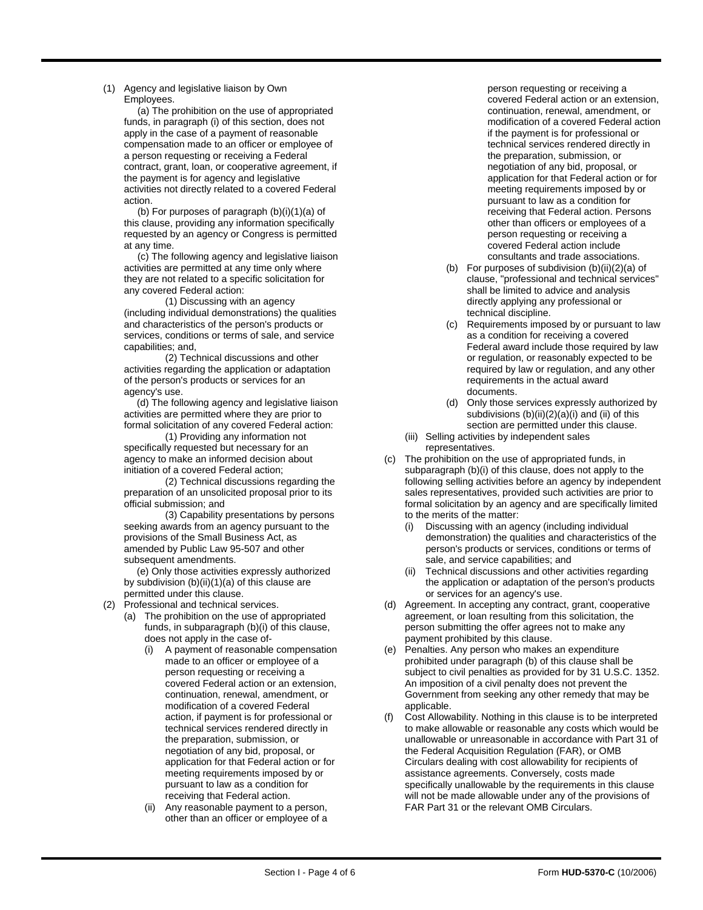(1) Agency and legislative liaison by Own Employees.

> (a) The prohibition on the use of appropriated funds, in paragraph (i) of this section, does not apply in the case of a payment of reasonable compensation made to an officer or employee of a person requesting or receiving a Federal contract, grant, loan, or cooperative agreement, if the payment is for agency and legislative activities not directly related to a covered Federal action.

> (b) For purposes of paragraph (b)(i)(1)(a) of this clause, providing any information specifically requested by an agency or Congress is permitted at any time.

> (c) The following agency and legislative liaison activities are permitted at any time only where they are not related to a specific solicitation for any covered Federal action:

> (1) Discussing with an agency (including individual demonstrations) the qualities and characteristics of the person's products or services, conditions or terms of sale, and service capabilities; and,

(2) Technical discussions and other activities regarding the application or adaptation of the person's products or services for an agency's use.

(d) The following agency and legislative liaison activities are permitted where they are prior to formal solicitation of any covered Federal action:

(1) Providing any information not specifically requested but necessary for an agency to make an informed decision about initiation of a covered Federal action;

(2) Technical discussions regarding the preparation of an unsolicited proposal prior to its official submission; and

(3) Capability presentations by persons seeking awards from an agency pursuant to the provisions of the Small Business Act, as amended by Public Law 95-507 and other subsequent amendments.

(e) Only those activities expressly authorized by subdivision (b)(ii)(1)(a) of this clause are permitted under this clause.

- (2) Professional and technical services.
	- (a) The prohibition on the use of appropriated funds, in subparagraph (b)(i) of this clause, does not apply in the case of-
		- (i) A payment of reasonable compensation made to an officer or employee of a person requesting or receiving a covered Federal action or an extension, continuation, renewal, amendment, or modification of a covered Federal action, if payment is for professional or technical services rendered directly in the preparation, submission, or negotiation of any bid, proposal, or application for that Federal action or for meeting requirements imposed by or pursuant to law as a condition for receiving that Federal action.
		- (ii) Any reasonable payment to a person, other than an officer or employee of a

person requesting or receiving a covered Federal action or an extension, continuation, renewal, amendment, or modification of a covered Federal action if the payment is for professional or technical services rendered directly in the preparation, submission, or negotiation of any bid, proposal, or application for that Federal action or for meeting requirements imposed by or pursuant to law as a condition for receiving that Federal action. Persons other than officers or employees of a person requesting or receiving a covered Federal action include consultants and trade associations.

- (b) For purposes of subdivision (b)(ii)(2)(a) of clause, "professional and technical services" shall be limited to advice and analysis directly applying any professional or technical discipline.
- Requirements imposed by or pursuant to law as a condition for receiving a covered Federal award include those required by law or regulation, or reasonably expected to be required by law or regulation, and any other requirements in the actual award documents.
- (d) Only those services expressly authorized by subdivisions (b)(ii)(2)(a)(i) and (ii) of this section are permitted under this clause.
- (iii) Selling activities by independent sales representatives.
- (c) The prohibition on the use of appropriated funds, in subparagraph (b)(i) of this clause, does not apply to the following selling activities before an agency by independent sales representatives, provided such activities are prior to formal solicitation by an agency and are specifically limited to the merits of the matter:
	- (i) Discussing with an agency (including individual demonstration) the qualities and characteristics of the person's products or services, conditions or terms of sale, and service capabilities; and
	- (ii) Technical discussions and other activities regarding the application or adaptation of the person's products or services for an agency's use.
- (d) Agreement. In accepting any contract, grant, cooperative agreement, or loan resulting from this solicitation, the person submitting the offer agrees not to make any payment prohibited by this clause.
- (e) Penalties. Any person who makes an expenditure prohibited under paragraph (b) of this clause shall be subject to civil penalties as provided for by 31 U.S.C. 1352. An imposition of a civil penalty does not prevent the Government from seeking any other remedy that may be applicable.
- (f) Cost Allowability. Nothing in this clause is to be interpreted to make allowable or reasonable any costs which would be unallowable or unreasonable in accordance with Part 31 of the Federal Acquisition Regulation (FAR), or OMB Circulars dealing with cost allowability for recipients of assistance agreements. Conversely, costs made specifically unallowable by the requirements in this clause will not be made allowable under any of the provisions of FAR Part 31 or the relevant OMB Circulars.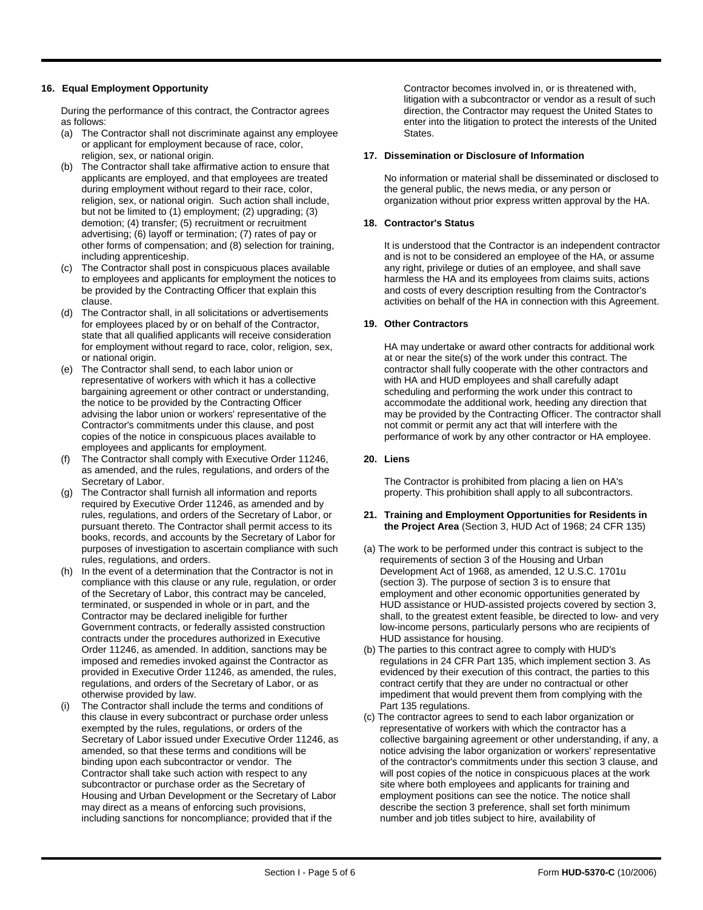#### **16. Equal Employment Opportunity**

During the performance of this contract, the Contractor agrees as follows:

- (a) The Contractor shall not discriminate against any employee or applicant for employment because of race, color, religion, sex, or national origin.
- (b) The Contractor shall take affirmative action to ensure that applicants are employed, and that employees are treated during employment without regard to their race, color, religion, sex, or national origin. Such action shall include, but not be limited to (1) employment; (2) upgrading; (3) demotion; (4) transfer; (5) recruitment or recruitment advertising; (6) layoff or termination; (7) rates of pay or other forms of compensation; and (8) selection for training, including apprenticeship.
- (c) The Contractor shall post in conspicuous places available to employees and applicants for employment the notices to be provided by the Contracting Officer that explain this clause.
- (d) The Contractor shall, in all solicitations or advertisements for employees placed by or on behalf of the Contractor, state that all qualified applicants will receive consideration for employment without regard to race, color, religion, sex, or national origin.
- (e) The Contractor shall send, to each labor union or representative of workers with which it has a collective bargaining agreement or other contract or understanding, the notice to be provided by the Contracting Officer advising the labor union or workers' representative of the Contractor's commitments under this clause, and post copies of the notice in conspicuous places available to employees and applicants for employment.
- (f) The Contractor shall comply with Executive Order 11246, as amended, and the rules, regulations, and orders of the Secretary of Labor.
- (g) The Contractor shall furnish all information and reports required by Executive Order 11246, as amended and by rules, regulations, and orders of the Secretary of Labor, or pursuant thereto. The Contractor shall permit access to its books, records, and accounts by the Secretary of Labor for purposes of investigation to ascertain compliance with such rules, regulations, and orders.
- (h) In the event of a determination that the Contractor is not in compliance with this clause or any rule, regulation, or order of the Secretary of Labor, this contract may be canceled, terminated, or suspended in whole or in part, and the Contractor may be declared ineligible for further Government contracts, or federally assisted construction contracts under the procedures authorized in Executive Order 11246, as amended. In addition, sanctions may be imposed and remedies invoked against the Contractor as provided in Executive Order 11246, as amended, the rules, regulations, and orders of the Secretary of Labor, or as otherwise provided by law.
- (i) The Contractor shall include the terms and conditions of this clause in every subcontract or purchase order unless exempted by the rules, regulations, or orders of the Secretary of Labor issued under Executive Order 11246, as amended, so that these terms and conditions will be binding upon each subcontractor or vendor. The Contractor shall take such action with respect to any subcontractor or purchase order as the Secretary of Housing and Urban Development or the Secretary of Labor may direct as a means of enforcing such provisions, including sanctions for noncompliance; provided that if the

Contractor becomes involved in, or is threatened with, litigation with a subcontractor or vendor as a result of such direction, the Contractor may request the United States to enter into the litigation to protect the interests of the United States.

#### **17. Dissemination or Disclosure of Information**

No information or material shall be disseminated or disclosed to the general public, the news media, or any person or organization without prior express written approval by the HA.

#### **18. Contractor's Status**

It is understood that the Contractor is an independent contractor and is not to be considered an employee of the HA, or assume any right, privilege or duties of an employee, and shall save harmless the HA and its employees from claims suits, actions and costs of every description resulting from the Contractor's activities on behalf of the HA in connection with this Agreement.

#### **19. Other Contractors**

HA may undertake or award other contracts for additional work at or near the site(s) of the work under this contract. The contractor shall fully cooperate with the other contractors and with HA and HUD employees and shall carefully adapt scheduling and performing the work under this contract to accommodate the additional work, heeding any direction that may be provided by the Contracting Officer. The contractor shall not commit or permit any act that will interfere with the performance of work by any other contractor or HA employee.

### **20. Liens**

The Contractor is prohibited from placing a lien on HA's property. This prohibition shall apply to all subcontractors.

#### **21. Training and Employment Opportunities for Residents in the Project Area** (Section 3, HUD Act of 1968; 24 CFR 135)

- (a) The work to be performed under this contract is subject to the requirements of section 3 of the Housing and Urban Development Act of 1968, as amended, 12 U.S.C. 1701u (section 3). The purpose of section 3 is to ensure that employment and other economic opportunities generated by HUD assistance or HUD-assisted projects covered by section 3, shall, to the greatest extent feasible, be directed to low- and very low-income persons, particularly persons who are recipients of HUD assistance for housing.
- (b) The parties to this contract agree to comply with HUD's regulations in 24 CFR Part 135, which implement section 3. As evidenced by their execution of this contract, the parties to this contract certify that they are under no contractual or other impediment that would prevent them from complying with the Part 135 regulations.
- (c) The contractor agrees to send to each labor organization or representative of workers with which the contractor has a collective bargaining agreement or other understanding, if any, a notice advising the labor organization or workers' representative of the contractor's commitments under this section 3 clause, and will post copies of the notice in conspicuous places at the work site where both employees and applicants for training and employment positions can see the notice. The notice shall describe the section 3 preference, shall set forth minimum number and job titles subject to hire, availability of